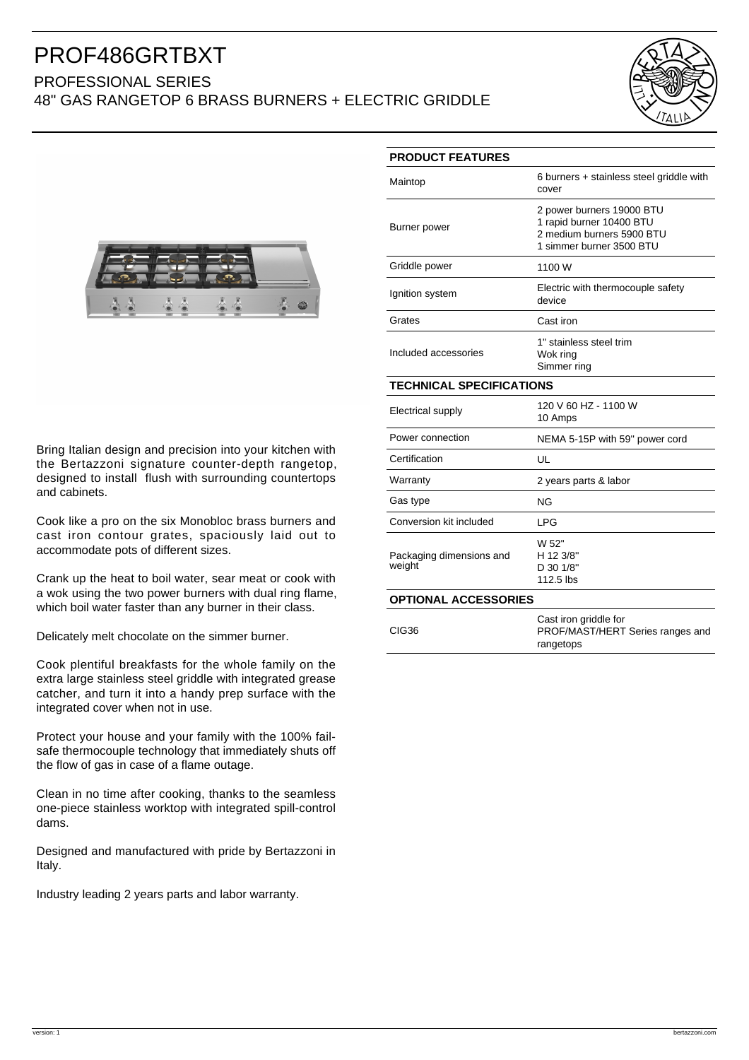## PROF486GRTBXT

### PROFESSIONAL SERIES 48" GAS RANGETOP 6 BRASS BURNERS + ELECTRIC GRIDDLE





Bring Italian design and precision into your kitchen with the Bertazzoni signature counter-depth rangetop, designed to install flush with surrounding countertops and cabinets.

Cook like a pro on the six Monobloc brass burners and cast iron contour grates, spaciously laid out to accommodate pots of different sizes.

Crank up the heat to boil water, sear meat or cook with a wok using the two power burners with dual ring flame, which boil water faster than any burner in their class.

Delicately melt chocolate on the simmer burner.

Cook plentiful breakfasts for the whole family on the extra large stainless steel griddle with integrated grease catcher, and turn it into a handy prep surface with the integrated cover when not in use.

Protect your house and your family with the 100% failsafe thermocouple technology that immediately shuts off the flow of gas in case of a flame outage.

Clean in no time after cooking, thanks to the seamless one-piece stainless worktop with integrated spill-control dams.

Designed and manufactured with pride by Bertazzoni in Italy.

Industry leading 2 years parts and labor warranty.

| <b>PRODUCT FEATURES</b>            |                                                                                                                |
|------------------------------------|----------------------------------------------------------------------------------------------------------------|
| Maintop                            | 6 burners + stainless steel griddle with<br>cover                                                              |
| Burner power                       | 2 power burners 19000 BTU<br>1 rapid burner 10400 BTU<br>2 medium burners 5900 BTU<br>1 simmer burner 3500 BTU |
| Griddle power                      | 1100 W                                                                                                         |
| Ignition system                    | Electric with thermocouple safety<br>device                                                                    |
| Grates                             | Cast iron                                                                                                      |
| Included accessories               | 1" stainless steel trim<br>Wok ring<br>Simmer ring                                                             |
| <b>TECHNICAL SPECIFICATIONS</b>    |                                                                                                                |
| Electrical supply                  | 120 V 60 HZ - 1100 W<br>10 Amps                                                                                |
| Power connection                   | NEMA 5-15P with 59" power cord                                                                                 |
| Certification                      | UL                                                                                                             |
| Warranty                           | 2 years parts & labor                                                                                          |
| Gas type                           | NG                                                                                                             |
| Conversion kit included            | LPG                                                                                                            |
| Packaging dimensions and<br>weight | W 52"<br>H 12 3/8"<br>D 30 1/8"<br>112.5 lbs                                                                   |
| <b>OPTIONAL ACCESSORIES</b>        |                                                                                                                |
|                                    | Cast iron griddle for                                                                                          |

CIG36 PROF/MAST/HERT Series ranges and rangetops